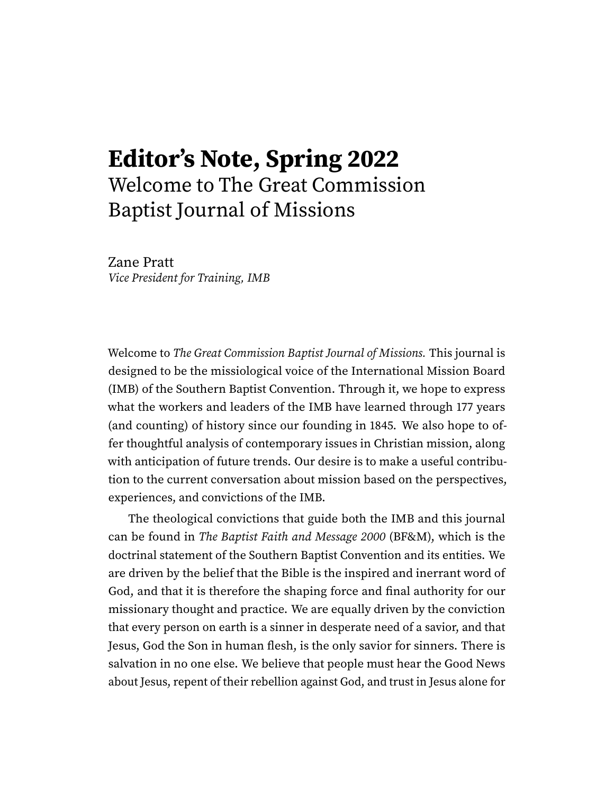## **Editor's Note, Spring 2022** Welcome to The Great Commission Baptist Journal of Missions

Zane Pratt Vice President for Training, IMB

Welcome to The Great Commission Baptist Journal of Missions. This journal is designed to be the missiological voice of the International Mission Board (IMB) of the Southern Baptist Convention. Through it, we hope to express what the workers and leaders of the IMB have learned through 177 years (and counting) of history since our founding in 1845. We also hope to offer thoughtful analysis of contemporary issues in Christian mission, along with anticipation of future trends. Our desire is to make a useful contribution to the current conversation about mission based on the perspectives, experiences, and convictions of the IMB.

The theological convictions that guide both the IMB and this journal can be found in The Baptist Faith and Message 2000 (BF&M), which is the doctrinal statement of the Southern Baptist Convention and its entities. We are driven by the belief that the Bible is the inspired and inerrant word of God, and that it is therefore the shaping force and final authority for our missionary thought and practice. We are equally driven by the conviction that every person on earth is a sinner in desperate need of a savior, and that Jesus, God the Son in human flesh, is the only savior for sinners. There is salvation in no one else. We believe that people must hear the Good News about Jesus, repent of their rebellion against God, and trust in Jesus alone for